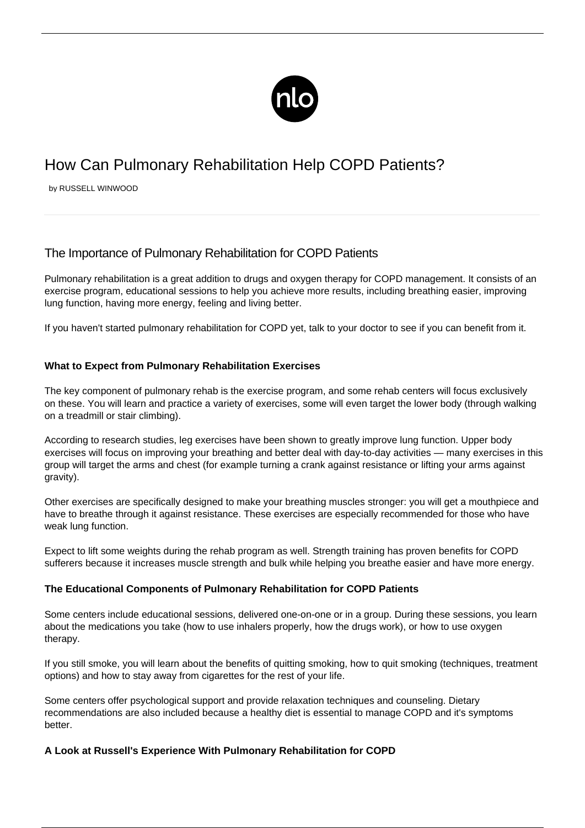

# How Can Pulmonary Rehabilitation Help COPD Patients?

by RUSSELL WINWOOD

## The Importance of Pulmonary Rehabilitation for COPD Patients

Pulmonary rehabilitation is a great addition to drugs and [oxygen therapy for COPD](/wearing-oxygen-easily/) management. It consists of an exercise program, educational sessions to help you achieve more results, including breathing easier, improving lung function, having more energy, feeling and living better.

If you haven't started pulmonary rehabilitation for COPD yet, talk to your doctor to see if you can benefit from it.

## **What to Expect from Pulmonary Rehabilitation Exercises**

The key component of pulmonary rehab is the exercise program, and some rehab centers will focus exclusively on these. You will learn and practice a variety of exercises, some will even target the lower body (through walking on a treadmill or stair climbing).

According to research studies, leg exercises have been shown to greatly improve lung function. Upper body exercises will focus on improving your breathing and better deal with day-to-day activities — many exercises in this group will target the arms and chest (for example turning a crank against resistance or lifting your arms against gravity).

Other exercises are specifically designed to make your breathing muscles stronger: you will get a mouthpiece and have to breathe through it against resistance. These exercises are especially recommended for those who have weak lung function.

Expect to lift some weights during the rehab program as well. Strength training has proven benefits for COPD sufferers because it increases muscle strength and bulk while helping you breathe easier and have more energy.

## **The Educational Components of Pulmonary Rehabilitation for COPD Patients**

Some centers include educational sessions, delivered one-on-one or in a group. During these sessions, you learn about the medications you take (how to use inhalers properly, how the drugs work), or how to use oxygen therapy.

If you still smoke, you will learn about the benefits of quitting smoking, [how to quit smoking](http://healthliving.today/how-to-quit-smoking/) (techniques, treatment options) and how to stay away from cigarettes for the rest of your life.

Some centers offer psychological support and provide relaxation techniques and counseling. Dietary recommendations are also included because a healthy diet is essential to manage COPD and it's symptoms better.

## **A Look at Russell's Experience With Pulmonary Rehabilitation for COPD**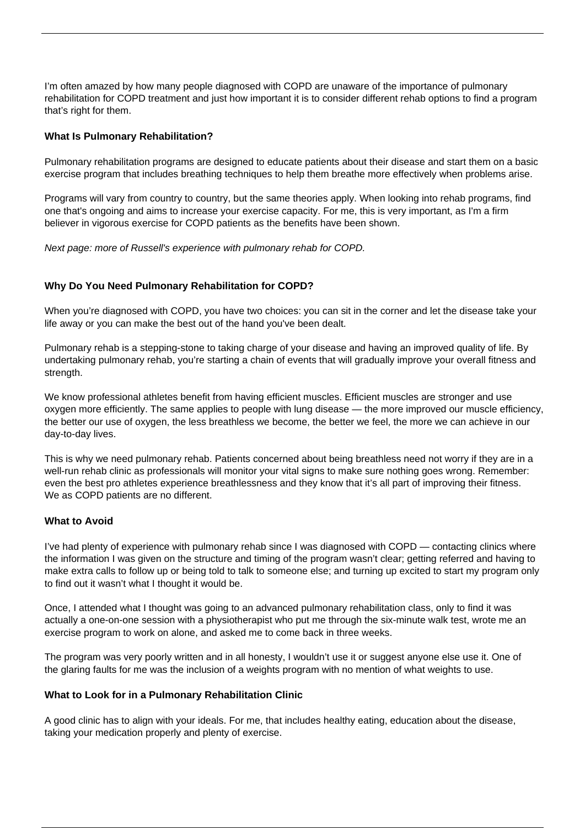I'm often amazed by how many people diagnosed with COPD are unaware of the importance of pulmonary rehabilitation for [COPD treatment](/copd-treatment/) and just how important it is to consider different rehab options to find a program that's right for them.

### **What Is Pulmonary Rehabilitation?**

Pulmonary rehabilitation programs are designed to educate patients about their disease and start them on a basic exercise program that includes breathing techniques to help them breathe more effectively when problems arise.

Programs will vary from country to country, but the same theories apply. When looking into rehab programs, find one that's ongoing and aims to increase your exercise capacity. For me, this is very important, as I'm a firm believer in vigorous [exercise for COPD patients](/copd-and-exercise/) as the benefits have been shown.

Next page: more of Russell's experience with pulmonary rehab for COPD.

#### **Why Do You Need Pulmonary Rehabilitation for COPD?**

When you're diagnosed with COPD, you have two choices: you can sit in the corner and let the disease take your life away or you can make the best out of the hand you've been dealt.

Pulmonary rehab is a stepping-stone to taking charge of your disease and having an improved quality of life. By undertaking pulmonary rehab, you're starting a chain of events that will gradually improve your overall fitness and strength.

We know professional athletes benefit from having efficient muscles. Efficient muscles are stronger and use oxygen more efficiently. The same applies to people with lung disease — the more improved our muscle efficiency, the better our use of oxygen, the less breathless we become, the better we feel, the more we can achieve in our day-to-day lives.

This is why we need pulmonary rehab. Patients concerned about being breathless need not worry if they are in a well-run rehab clinic as professionals will monitor your vital signs to make sure nothing goes wrong. Remember: even the best pro athletes experience breathlessness and they know that it's all part of improving their fitness. We as COPD patients are no different.

#### **What to Avoid**

I've had plenty of experience with pulmonary rehab since I was diagnosed with COPD — contacting clinics where the information I was given on the structure and timing of the program wasn't clear; getting referred and having to make extra calls to follow up or being told to talk to someone else; and turning up excited to start my program only to find out it wasn't what I thought it would be.

Once, I attended what I thought was going to an advanced pulmonary rehabilitation class, only to find it was actually a one-on-one session with a physiotherapist who put me through the six-minute walk test, wrote me an exercise program to work on alone, and asked me to come back in three weeks.

The program was very poorly written and in all honesty, I wouldn't use it or suggest anyone else use it. One of the glaring faults for me was the inclusion of a weights program with no mention of what weights to use.

#### **What to Look for in a Pulmonary Rehabilitation Clinic**

A good clinic has to align with your ideals. For me, that includes healthy eating, education about the disease, taking your medication properly and plenty of exercise.